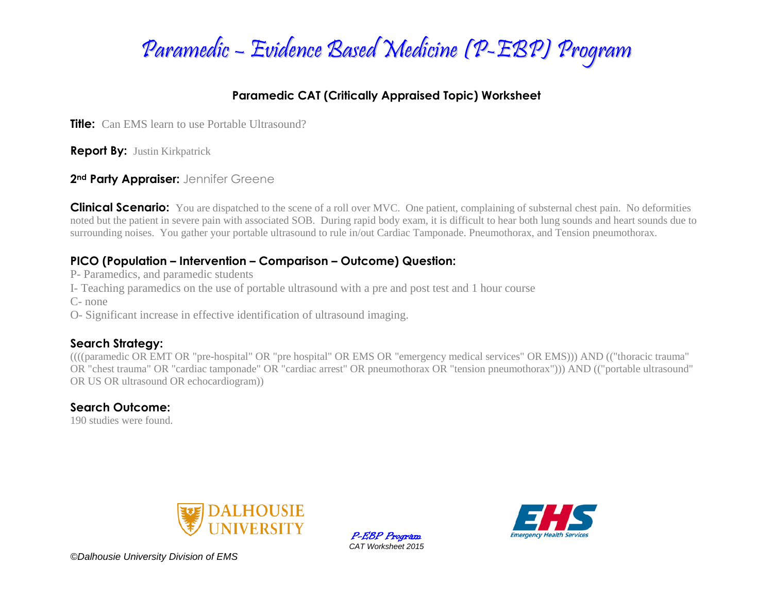

### **Paramedic CAT (Critically Appraised Topic) Worksheet**

**Title:** Can EMS learn to use Portable Ultrasound?

**Report By:** Justin Kirkpatrick

**2nd Party Appraiser:** Jennifer Greene

**Clinical Scenario:** You are dispatched to the scene of a roll over MVC. One patient, complaining of substernal chest pain. No deformities noted but the patient in severe pain with associated SOB. During rapid body exam, it is difficult to hear both lung sounds and heart sounds due to surrounding noises. You gather your portable ultrasound to rule in/out Cardiac Tamponade. Pneumothorax, and Tension pneumothorax.

### **PICO (Population – Intervention – Comparison – Outcome) Question:**

P- Paramedics, and paramedic students

I- Teaching paramedics on the use of portable ultrasound with a pre and post test and 1 hour course

C- none

O- Significant increase in effective identification of ultrasound imaging.

### **Search Strategy:**

((((paramedic OR EMT OR "pre-hospital" OR "pre hospital" OR EMS OR "emergency medical services" OR EMS))) AND (("thoracic trauma" OR "chest trauma" OR "cardiac tamponade" OR "cardiac arrest" OR pneumothorax OR "tension pneumothorax"))) AND (("portable ultrasound" OR US OR ultrasound OR echocardiogram))

### **Search Outcome:**

190 studies were found.



P-EBP Program *CAT Worksheet 2015*



*©Dalhousie University Division of EMS*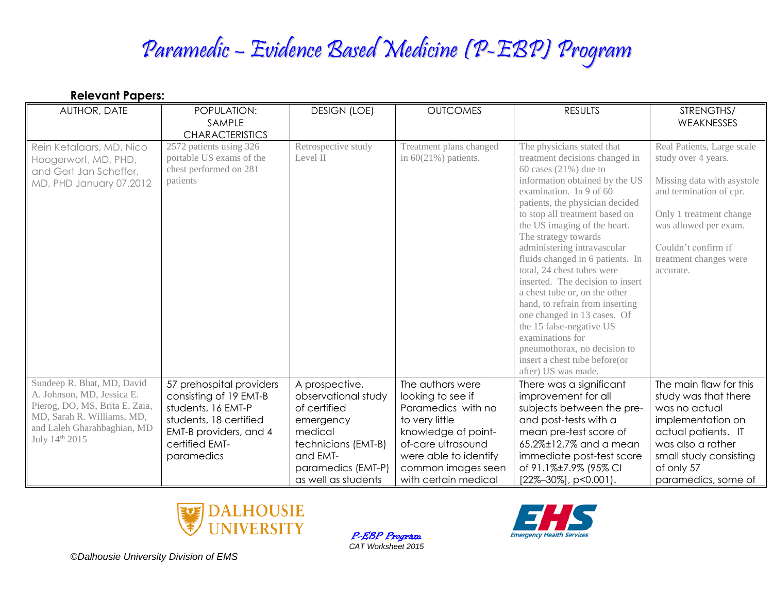# Paramedic – Evidence Based Medicine (P-EBP) Program

| AUTHOR, DATE                                                                                                                                                                          | POPULATION:<br>SAMPLE<br><b>CHARACTERISTICS</b>                                                                                                              | <b>DESIGN (LOE)</b>                                                                                                                                           | <b>OUTCOMES</b>                                                                                                                                                                                   | <b>RESULTS</b>                                                                                                                                                                                                                                                                                                                                                                                                                                                                                                                                                                                                                                                     | STRENGTHS/<br>WEAKNESSES                                                                                                                                                                                                     |
|---------------------------------------------------------------------------------------------------------------------------------------------------------------------------------------|--------------------------------------------------------------------------------------------------------------------------------------------------------------|---------------------------------------------------------------------------------------------------------------------------------------------------------------|---------------------------------------------------------------------------------------------------------------------------------------------------------------------------------------------------|--------------------------------------------------------------------------------------------------------------------------------------------------------------------------------------------------------------------------------------------------------------------------------------------------------------------------------------------------------------------------------------------------------------------------------------------------------------------------------------------------------------------------------------------------------------------------------------------------------------------------------------------------------------------|------------------------------------------------------------------------------------------------------------------------------------------------------------------------------------------------------------------------------|
| Rein Ketalaars, MD, Nico<br>Hoogerworf, MD, PHD,<br>and Gert Jan Scheffer,<br>MD, PHD January 07.2012                                                                                 | 2572 patients using 326<br>portable US exams of the<br>chest performed on 281<br>patients                                                                    | Retrospective study<br>Level II                                                                                                                               | Treatment plans changed<br>in $60(21\%)$ patients.                                                                                                                                                | The physicians stated that<br>treatment decisions changed in<br>60 cases $(21\%)$ due to<br>information obtained by the US<br>examination. In 9 of 60<br>patients, the physician decided<br>to stop all treatment based on<br>the US imaging of the heart.<br>The strategy towards<br>administering intravascular<br>fluids changed in 6 patients. In<br>total, 24 chest tubes were<br>inserted. The decision to insert<br>a chest tube or, on the other<br>hand, to refrain from inserting<br>one changed in 13 cases. Of<br>the 15 false-negative US<br>examinations for<br>pneumothorax, no decision to<br>insert a chest tube before(or<br>after) US was made. | Real Patients, Large scale<br>study over 4 years.<br>Missing data with asystole<br>and termination of cpr.<br>Only 1 treatment change<br>was allowed per exam.<br>Couldn't confirm if<br>treatment changes were<br>accurate. |
| Sundeep R. Bhat, MD, David<br>A. Johnson, MD, Jessica E.<br>Pierog, DO, MS, Brita E. Zaia,<br>MD, Sarah R. Williams, MD,<br>and Laleh Gharahbaghian, MD<br>July 14 <sup>th</sup> 2015 | 57 prehospital providers<br>consisting of 19 EMT-B<br>students, 16 EMT-P<br>students, 18 certified<br>EMT-B providers, and 4<br>certified EMT-<br>paramedics | A prospective,<br>observational study<br>of certified<br>emergency<br>medical<br>technicians (EMT-B)<br>and EMT-<br>paramedics (EMT-P)<br>as well as students | The authors were<br>looking to see if<br>Paramedics with no<br>to very little<br>knowledge of point-<br>of-care ultrasound<br>were able to identify<br>common images seen<br>with certain medical | There was a significant<br>improvement for all<br>subjects between the pre-<br>and post-tests with a<br>mean pre-test score of<br>65.2%±12.7% and a mean<br>immediate post-test score<br>of 91.1%±7.9% (95% CI<br>$[22\% - 30\%]$ , p<0.001).                                                                                                                                                                                                                                                                                                                                                                                                                      | The main flaw for this<br>study was that there<br>was no actual<br>implementation on<br>actual patients. IT<br>was also a rather<br>small study consisting<br>of only 57<br>paramedics, some of                              |



P-EBP Program *CAT Worksheet 2015*



*©Dalhousie University Division of EMS*

**Relevant Papers:**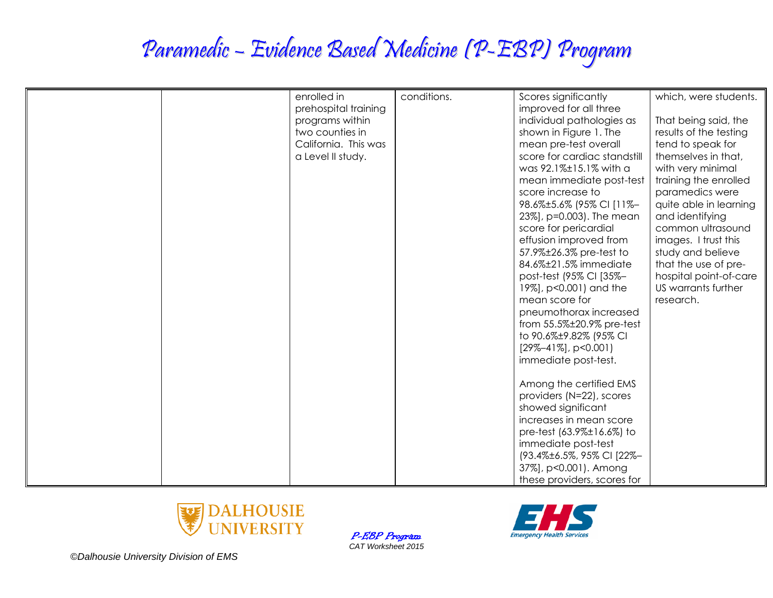# Paramedic – Evidence Based Medicine (P-EBP) Program

| enrolled in          | conditions. | Scores significantly                                 | which, were students.  |
|----------------------|-------------|------------------------------------------------------|------------------------|
| prehospital training |             | improved for all three                               |                        |
| programs within      |             | individual pathologies as                            | That being said, the   |
| two counties in      |             | shown in Figure 1. The                               | results of the testing |
| California. This was |             | mean pre-test overall                                | tend to speak for      |
| a Level II study.    |             | score for cardiac standstill                         | themselves in that,    |
|                      |             | was 92.1%±15.1% with a                               | with very minimal      |
|                      |             | mean immediate post-test                             | training the enrolled  |
|                      |             | score increase to                                    | paramedics were        |
|                      |             | 98.6%±5.6% (95% CI [11%-                             | quite able in learning |
|                      |             | 23%], p=0.003). The mean                             | and identifying        |
|                      |             | score for pericardial                                | common ultrasound      |
|                      |             | effusion improved from                               | images. I trust this   |
|                      |             | 57.9%±26.3% pre-test to                              | study and believe      |
|                      |             | 84.6%±21.5% immediate                                | that the use of pre-   |
|                      |             | post-test (95% CI [35%-                              | hospital point-of-care |
|                      |             | 19%], p<0.001) and the                               | US warrants further    |
|                      |             | mean score for                                       | research.              |
|                      |             | pneumothorax increased                               |                        |
|                      |             | from 55.5%±20.9% pre-test                            |                        |
|                      |             | to 90.6%±9.82% (95% CI<br>$[29\% - 41\%]$ , p<0.001) |                        |
|                      |             | immediate post-test.                                 |                        |
|                      |             |                                                      |                        |
|                      |             | Among the certified EMS                              |                        |
|                      |             | providers (N=22), scores                             |                        |
|                      |             | showed significant                                   |                        |
|                      |             | increases in mean score                              |                        |
|                      |             | pre-test (63.9%±16.6%) to                            |                        |
|                      |             | immediate post-test                                  |                        |
|                      |             | (93.4%±6.5%, 95% CI [22%-                            |                        |
|                      |             | 37%], p<0.001). Among                                |                        |
|                      |             | these providers, scores for                          |                        |

P-EBP Program *CAT Worksheet 2015*





*©Dalhousie University Division of EMS*